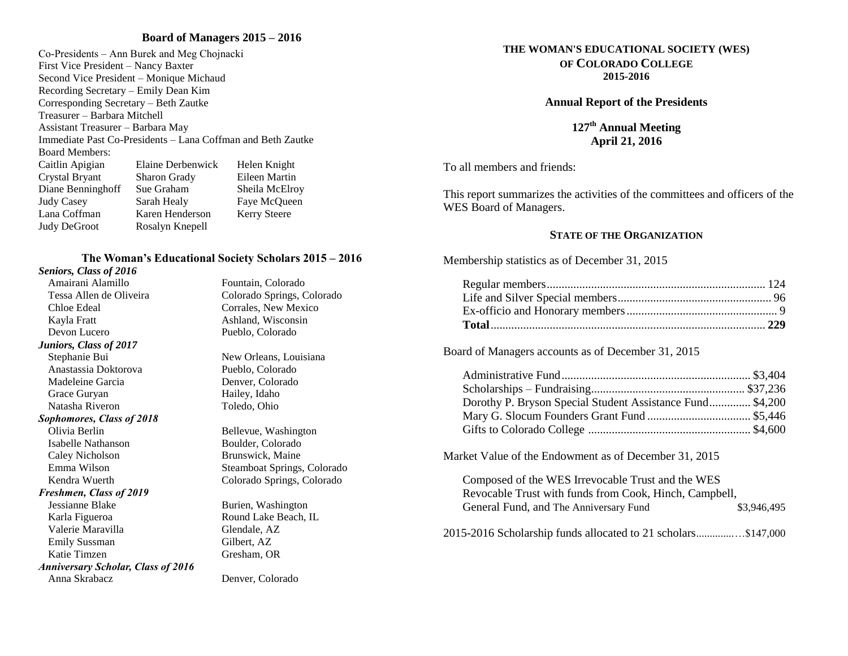# **Board of Managers 2015 – 2016**

Co-Presidents – Ann Burek and Meg Chojnacki First Vice President – Nancy Baxter Second Vice President – Monique Michaud Recording Secretary – Emily Dean Kim Corresponding Secretary – Beth Zautke Treasurer – Barbara Mitchell Assistant Treasurer – Barbara May Immediate Past Co-Presidents – Lana Coffman and Beth Zautke Board Members: Caitlin Apigian Elaine Derbenwick Helen Knight Crystal Bryant Sharon Grady Eileen Martin Diane Benninghoff Sue Graham Sheila McElroy Judy Casey Sarah Healy Faye McQueen Lana Coffman Karen Henderson Kerry Steere Judy DeGroot Rosalyn Knepell

# **The Woman's Educational Society Scholars 2015 – 2016**

## *Seniors, Class of 2016*

Tessa Allen de Oliveira Colorado Springs, Colorado Chloe Edeal Corrales, New Mexico Kayla Fratt Ashland, Wisconsin Devon Lucero Pueblo, Colorado *Juniors, Class of 2017* Stephanie Bui New Orleans, Louisiana Anastassia Doktorova Pueblo, Colorado Madeleine Garcia Denver, Colorado Grace Guryan Hailey, Idaho Natasha Riveron Toledo, Ohio *Sophomores, Class of 2018* Olivia Berlin Bellevue, Washington Isabelle Nathanson Boulder, Colorado

# Caley Nicholson Brunswick, Maine

# *Freshmen, Class of 2019*

Jessianne Blake Burien, Washington Karla Figueroa **Round Lake Beach, IL** Valerie Maravilla Glendale, AZ Emily Sussman Gilbert, AZ Katie Timzen Gresham, OR *Anniversary Scholar, Class of 2016* Anna Skrabacz Denver, Colorado

Amairani Alamillo Fountain, Colorado

Emma Wilson Steamboat Springs, Colorado Kendra Wuerth Colorado Springs, Colorado

#### **THE WOMAN'S EDUCATIONAL SOCIETY (WES) OF COLORADO COLLEGE 2015-2016**

#### **Annual Report of the Presidents**

**127th Annual Meeting April 21, 2016**

To all members and friends:

This report summarizes the activities of the committees and officers of the WES Board of Managers.

## **STATE OF THE ORGANIZATION**

Membership statistics as of December 31, 2015

Board of Managers accounts as of December 31, 2015

| Dorothy P. Bryson Special Student Assistance Fund \$4,200 |  |
|-----------------------------------------------------------|--|
|                                                           |  |
|                                                           |  |

Market Value of the Endowment as of December 31, 2015

| Composed of the WES Irrevocable Trust and the WES             |             |
|---------------------------------------------------------------|-------------|
| Revocable Trust with funds from Cook, Hinch, Campbell,        |             |
| General Fund, and The Anniversary Fund                        | \$3,946,495 |
| 2015-2016 Scholarship funds allocated to 21 scholars\$147,000 |             |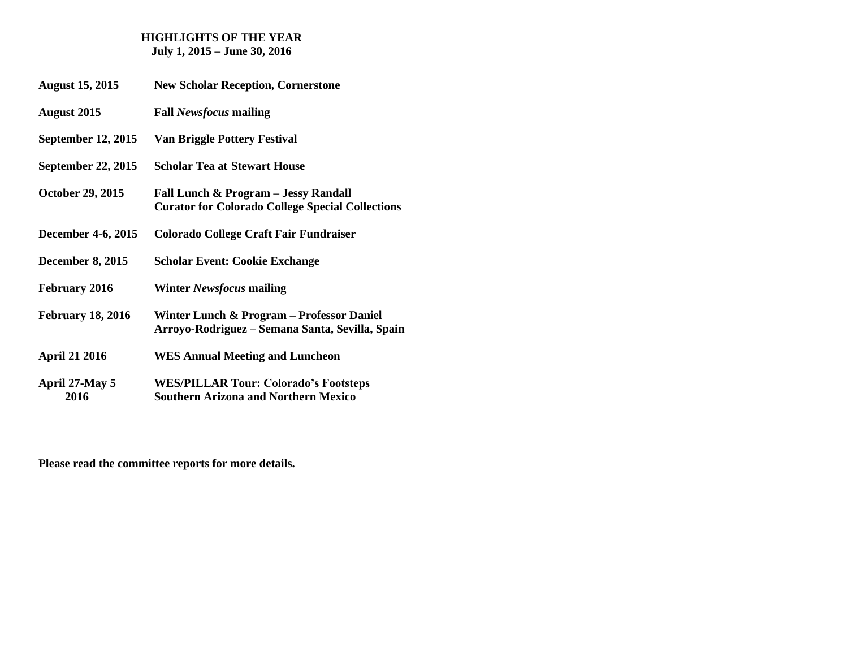## **HIGHLIGHTS OF THE YEAR July 1, 2015 – June 30, 2016**

- **August 15, 2015 New Scholar Reception, Cornerstone**
- **August 2015 Fall** *Newsfocus* **mailing**
- **September 12, 2015 Van Briggle Pottery Festival**
- **September 22, 2015 Scholar Tea at Stewart House**
- **October 29, 2015 Fall Lunch & Program – Jessy Randall Curator for Colorado College Special Collections**
- **December 4-6, 2015 Colorado College Craft Fair Fundraiser**
- **December 8, 2015 Scholar Event: Cookie Exchange**
- **February 2016 Winter** *Newsfocus* **mailing**
- **February 18, 2016 Winter Lunch & Program – Professor Daniel Arroyo-Rodriguez – Semana Santa, Sevilla, Spain**
- **April 21 2016 WES Annual Meeting and Luncheon**
- **April 27-May 5 WES/PILLAR Tour: Colorado's Footsteps 2016 Southern Arizona and Northern Mexico**

**Please read the committee reports for more details.**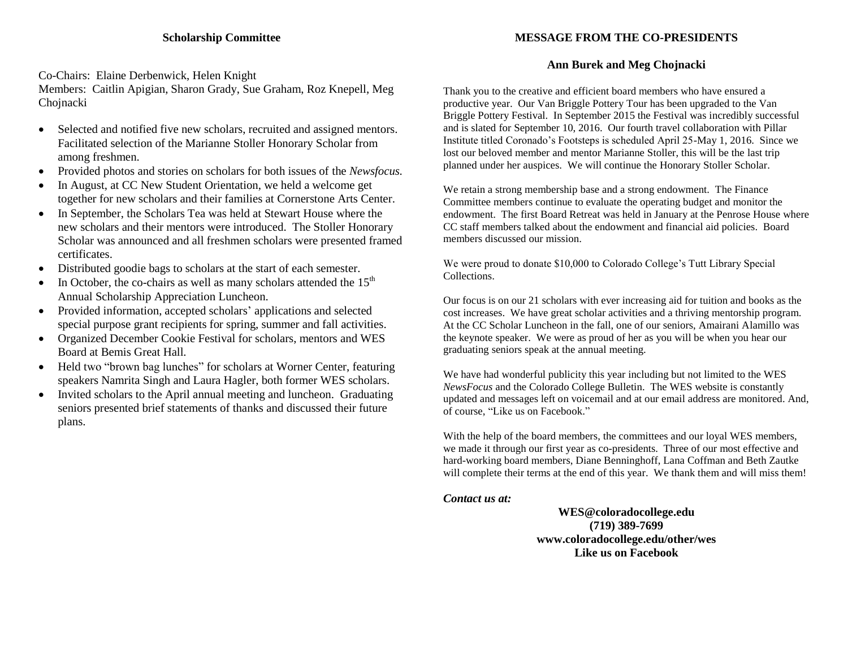# **MESSAGE FROM THE CO-PRESIDENTS**

# **Ann Burek and Meg Chojnacki**

Co-Chairs: Elaine Derbenwick, Helen Knight

Members: Caitlin Apigian, Sharon Grady, Sue Graham, Roz Knepell, Meg Chojnacki

- Selected and notified five new scholars, recruited and assigned mentors. Facilitated selection of the Marianne Stoller Honorary Scholar from among freshmen.
- Provided photos and stories on scholars for both issues of the *Newsfocus.*
- In August, at CC New Student Orientation, we held a welcome get together for new scholars and their families at Cornerstone Arts Center.
- In September, the Scholars Tea was held at Stewart House where the new scholars and their mentors were introduced. The Stoller Honorary Scholar was announced and all freshmen scholars were presented framed certificates.
- Distributed goodie bags to scholars at the start of each semester.
- In October, the co-chairs as well as many scholars attended the  $15<sup>th</sup>$ Annual Scholarship Appreciation Luncheon.
- Provided information, accepted scholars' applications and selected special purpose grant recipients for spring, summer and fall activities.
- Organized December Cookie Festival for scholars, mentors and WES Board at Bemis Great Hall.
- Held two "brown bag lunches" for scholars at Worner Center, featuring speakers Namrita Singh and Laura Hagler, both former WES scholars.
- Invited scholars to the April annual meeting and luncheon. Graduating seniors presented brief statements of thanks and discussed their future plans.

Thank you to the creative and efficient board members who have ensured a productive year. Our Van Briggle Pottery Tour has been upgraded to the Van Briggle Pottery Festival. In September 2015 the Festival was incredibly successful and is slated for September 10, 2016. Our fourth travel collaboration with Pillar Institute titled Coronado's Footsteps is scheduled April 25-May 1, 2016. Since we lost our beloved member and mentor Marianne Stoller, this will be the last trip planned under her auspices. We will continue the Honorary Stoller Scholar.

We retain a strong membership base and a strong endowment. The Finance Committee members continue to evaluate the operating budget and monitor the endowment. The first Board Retreat was held in January at the Penrose House where CC staff members talked about the endowment and financial aid policies. Board members discussed our mission.

We were proud to donate \$10,000 to Colorado College's Tutt Library Special Collections.

Our focus is on our 21 scholars with ever increasing aid for tuition and books as the cost increases. We have great scholar activities and a thriving mentorship program. At the CC Scholar Luncheon in the fall, one of our seniors, Amairani Alamillo was the keynote speaker. We were as proud of her as you will be when you hear our graduating seniors speak at the annual meeting.

We have had wonderful publicity this year including but not limited to the WES *NewsFocus* and the Colorado College Bulletin. The WES website is constantly updated and messages left on voicemail and at our email address are monitored. And, of course, "Like us on Facebook."

With the help of the board members, the committees and our loyal WES members, we made it through our first year as co-presidents. Three of our most effective and hard-working board members, Diane Benninghoff, Lana Coffman and Beth Zautke will complete their terms at the end of this year. We thank them and will miss them!

*Contact us at:*

**WES@coloradocollege.edu (719) 389-7699 www.coloradocollege.edu/other/wes Like us on Facebook**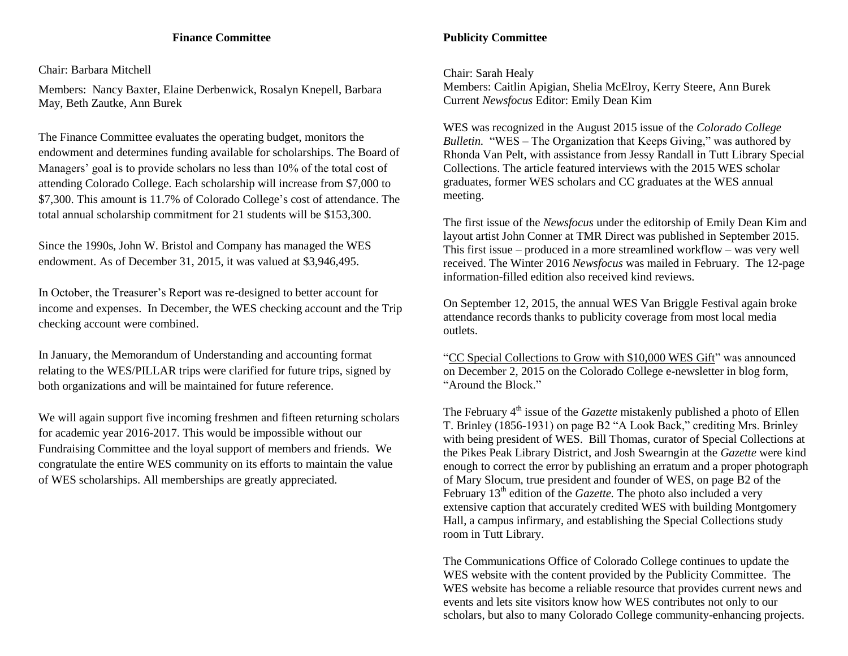# **Finance Committee**

Chair: Barbara Mitchell

Members: Nancy Baxter, Elaine Derbenwick, Rosalyn Knepell, Barbara May, Beth Zautke, Ann Burek

The Finance Committee evaluates the operating budget, monitors the endowment and determines funding available for scholarships. The Board of Managers' goal is to provide scholars no less than 10% of the total cost of attending Colorado College. Each scholarship will increase from \$7,000 to \$7,300. This amount is 11.7% of Colorado College's cost of attendance. The total annual scholarship commitment for 21 students will be \$153,300.

Since the 1990s, John W. Bristol and Company has managed the WES endowment. As of December 31, 2015, it was valued at \$3,946,495.

In October, the Treasurer's Report was re-designed to better account for income and expenses. In December, the WES checking account and the Trip checking account were combined.

In January, the Memorandum of Understanding and accounting format relating to the WES/PILLAR trips were clarified for future trips, signed by both organizations and will be maintained for future reference.

We will again support five incoming freshmen and fifteen returning scholars for academic year 2016-2017. This would be impossible without our Fundraising Committee and the loyal support of members and friends. We congratulate the entire WES community on its efforts to maintain the value of WES scholarships. All memberships are greatly appreciated.

# **Publicity Committee**

Chair: Sarah Healy

Members: Caitlin Apigian, Shelia McElroy, Kerry Steere, Ann Burek Current *Newsfocus* Editor: Emily Dean Kim

WES was recognized in the August 2015 issue of the *Colorado College Bulletin.* "WES – The Organization that Keeps Giving," was authored by Rhonda Van Pelt, with assistance from Jessy Randall in Tutt Library Special Collections. The article featured interviews with the 2015 WES scholar graduates, former WES scholars and CC graduates at the WES annual meeting.

The first issue of the *Newsfocus* under the editorship of Emily Dean Kim and layout artist John Conner at TMR Direct was published in September 2015. This first issue – produced in a more streamlined workflow – was very well received. The Winter 2016 *Newsfocus* was mailed in February. The 12-page information-filled edition also received kind reviews.

On September 12, 2015, the annual WES Van Briggle Festival again broke attendance records thanks to publicity coverage from most local media outlets.

"CC Special Collections to Grow with \$10,000 WES Gift" was announced on December 2, 2015 on the Colorado College e-newsletter in blog form, "Around the Block."

The February 4<sup>th</sup> issue of the *Gazette* mistakenly published a photo of Ellen T. Brinley (1856-1931) on page B2 "A Look Back," crediting Mrs. Brinley with being president of WES. Bill Thomas, curator of Special Collections at the Pikes Peak Library District, and Josh Swearngin at the *Gazette* were kind enough to correct the error by publishing an erratum and a proper photograph of Mary Slocum, true president and founder of WES, on page B2 of the February 13<sup>th</sup> edition of the *Gazette*. The photo also included a very extensive caption that accurately credited WES with building Montgomery Hall, a campus infirmary, and establishing the Special Collections study room in Tutt Library.

The Communications Office of Colorado College continues to update the WES website with the content provided by the Publicity Committee. The WES website has become a reliable resource that provides current news and events and lets site visitors know how WES contributes not only to our scholars, but also to many Colorado College community-enhancing projects.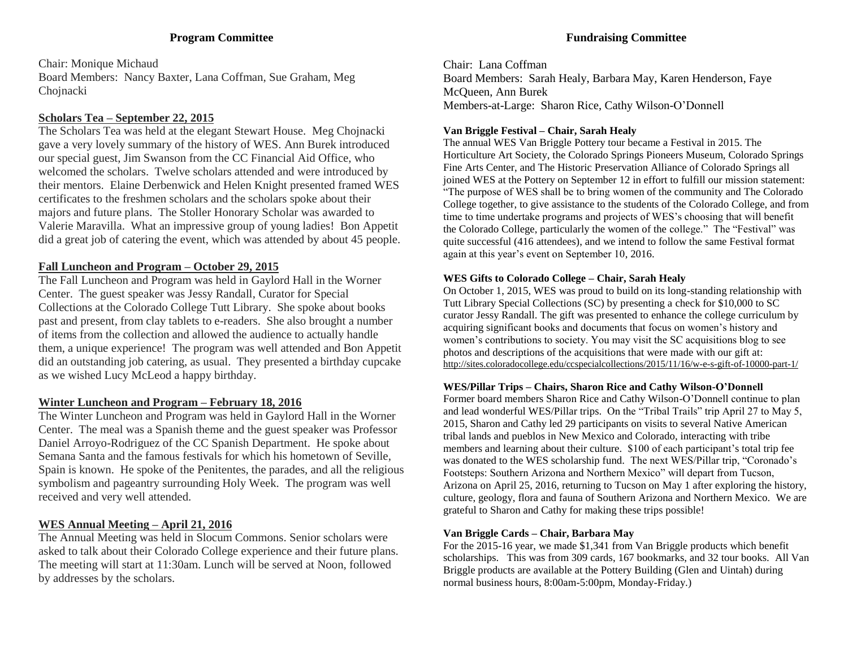# **Program Committee**

Chair: Monique Michaud Board Members: Nancy Baxter, Lana Coffman, Sue Graham, Meg Chojnacki

# **Scholars Tea – September 22, 2015**

The Scholars Tea was held at the elegant Stewart House. Meg Chojnacki gave a very lovely summary of the history of WES. Ann Burek introduced our special guest, Jim Swanson from the CC Financial Aid Office, who welcomed the scholars. Twelve scholars attended and were introduced by their mentors. Elaine Derbenwick and Helen Knight presented framed WES certificates to the freshmen scholars and the scholars spoke about their majors and future plans. The Stoller Honorary Scholar was awarded to Valerie Maravilla. What an impressive group of young ladies! Bon Appetit did a great job of catering the event, which was attended by about 45 people.

# **Fall Luncheon and Program – October 29, 2015**

The Fall Luncheon and Program was held in Gaylord Hall in the Worner Center. The guest speaker was Jessy Randall, Curator for Special Collections at the Colorado College Tutt Library. She spoke about books past and present, from clay tablets to e-readers. She also brought a number of items from the collection and allowed the audience to actually handle them, a unique experience! The program was well attended and Bon Appetit did an outstanding job catering, as usual. They presented a birthday cupcake as we wished Lucy McLeod a happy birthday.

# **Winter Luncheon and Program – February 18, 2016**

The Winter Luncheon and Program was held in Gaylord Hall in the Worner Center. The meal was a Spanish theme and the guest speaker was Professor Daniel Arroyo-Rodriguez of the CC Spanish Department. He spoke about Semana Santa and the famous festivals for which his hometown of Seville, Spain is known. He spoke of the Penitentes, the parades, and all the religious symbolism and pageantry surrounding Holy Week. The program was well received and very well attended.

# **WES Annual Meeting – April 21, 2016**

The Annual Meeting was held in Slocum Commons. Senior scholars were asked to talk about their Colorado College experience and their future plans. The meeting will start at 11:30am. Lunch will be served at Noon, followed by addresses by the scholars.

Chair: Lana Coffman Board Members: Sarah Healy, Barbara May, Karen Henderson, Faye McQueen, Ann Burek Members-at-Large: Sharon Rice, Cathy Wilson-O'Donnell

# **Van Briggle Festival – Chair, Sarah Healy**

The annual WES Van Briggle Pottery tour became a Festival in 2015. The Horticulture Art Society, the Colorado Springs Pioneers Museum, Colorado Springs Fine Arts Center, and The Historic Preservation Alliance of Colorado Springs all joined WES at the Pottery on September 12 in effort to fulfill our mission statement: "The purpose of WES shall be to bring women of the community and The Colorado College together, to give assistance to the students of the Colorado College, and from time to time undertake programs and projects of WES's choosing that will benefit the Colorado College, particularly the women of the college." The "Festival" was quite successful (416 attendees), and we intend to follow the same Festival format again at this year's event on September 10, 2016.

# **WES Gifts to Colorado College – Chair, Sarah Healy**

On October 1, 2015, WES was proud to build on its long-standing relationship with Tutt Library Special Collections (SC) by presenting a check for \$10,000 to SC curator Jessy Randall. The gift was presented to enhance the college curriculum by acquiring significant books and documents that focus on women's history and women's contributions to society. You may visit the SC acquisitions blog to see photos and descriptions of the acquisitions that were made with our gift at: http://sites.coloradocollege.edu/ccspecialcollections/2015/11/16/w-e-s-gift-of-10000-part-1/

# **WES/Pillar Trips – Chairs, Sharon Rice and Cathy Wilson-O'Donnell**

Former board members Sharon Rice and Cathy Wilson-O'Donnell continue to plan and lead wonderful WES/Pillar trips. On the "Tribal Trails" trip April 27 to May 5, 2015, Sharon and Cathy led 29 participants on visits to several Native American tribal lands and pueblos in New Mexico and Colorado, interacting with tribe members and learning about their culture. \$100 of each participant's total trip fee was donated to the WES scholarship fund. The next WES/Pillar trip, "Coronado's Footsteps: Southern Arizona and Northern Mexico" will depart from Tucson, Arizona on April 25, 2016, returning to Tucson on May 1 after exploring the history, culture, geology, flora and fauna of Southern Arizona and Northern Mexico. We are grateful to Sharon and Cathy for making these trips possible!

# **Van Briggle Cards – Chair, Barbara May**

For the 2015-16 year, we made \$1,341 from Van Briggle products which benefit scholarships. This was from 309 cards, 167 bookmarks, and 32 tour books. All Van Briggle products are available at the Pottery Building (Glen and Uintah) during normal business hours, 8:00am-5:00pm, Monday-Friday.)